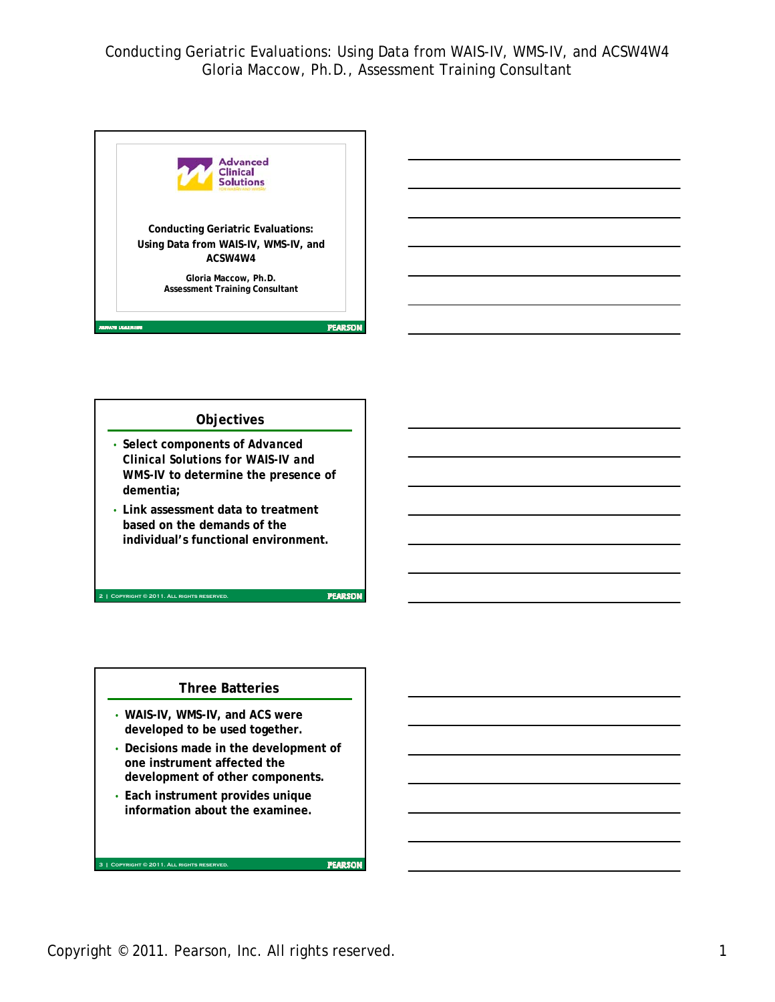

## **Objectives** • **Select components of** *Advanced Clinical Solutions for WAIS-IV and WMS-IV* **to determine the presence of dementia;** • **Link assessment data to treatment based on the demands of the individual's functional environment. PEARSON 2 | Copyright © 2011. All rights reserved.**

### **Three Batteries**

- **WAIS-IV, WMS-IV, and ACS were developed to be used together.**
- **Decisions made in the development of one instrument affected the development of other components.**
- **Each instrument provides unique information about the examinee.**

**3 | Copyright © 2011. All rights reserved.**

**FEARSON** 

Copyright © 2011. Pearson, Inc. All rights reserved. 1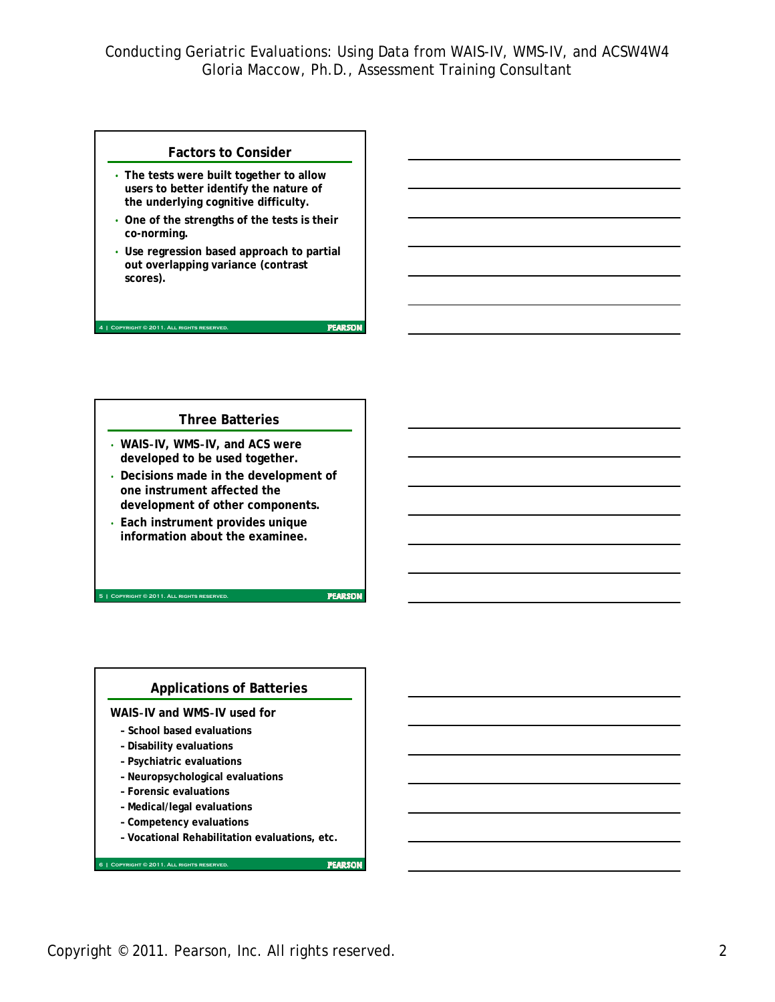#### **Factors to Consider**

- **The tests were built together to allow users to better identify the nature of the underlying cognitive difficulty.**
- **One of the strengths of the tests is their co-norming.**
- **Use regression based approach to partial out overlapping variance (contrast scores).**

### **Three Batteries**

- **WAIS**‐**IV, WMS**‐**IV, and ACS were developed to be used together.**
- **Decisions made in the development of one instrument affected the development of other components.**
- **Each instrument provides unique information about the examinee.**

**5 | Copyright © 2011. All rights reserved.**

**4 | Copyright © 2011. All rights reserved.**

**PEARSON** 

**PEARSON** 

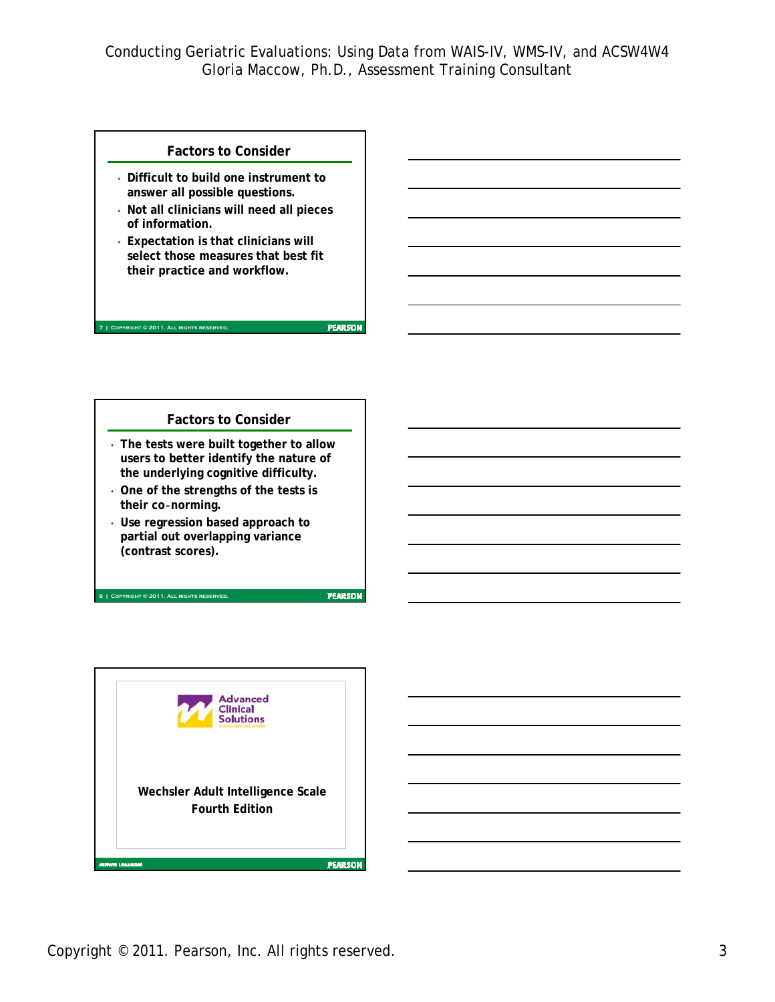**PEARSON** 

**PEARSON** 

### **Factors to Consider**

- **Difficult to build one instrument to answer all possible questions.**
- **Not all clinicians will need all pieces of information.**
- **Expectation is that clinicians will select those measures that best fit their practice and workflow.**

### **Factors to Consider**

- **The tests were built together to allow users to better identify the nature of the underlying cognitive difficulty.**
- **One of the strengths of the tests is their co**‐**norming.**
- **Use regression based approach to partial out overlapping variance (contrast scores).**

**8 | Copyright © 2011. All rights reserved.**

**7 | Copyright © 2011. All rights reserved.**



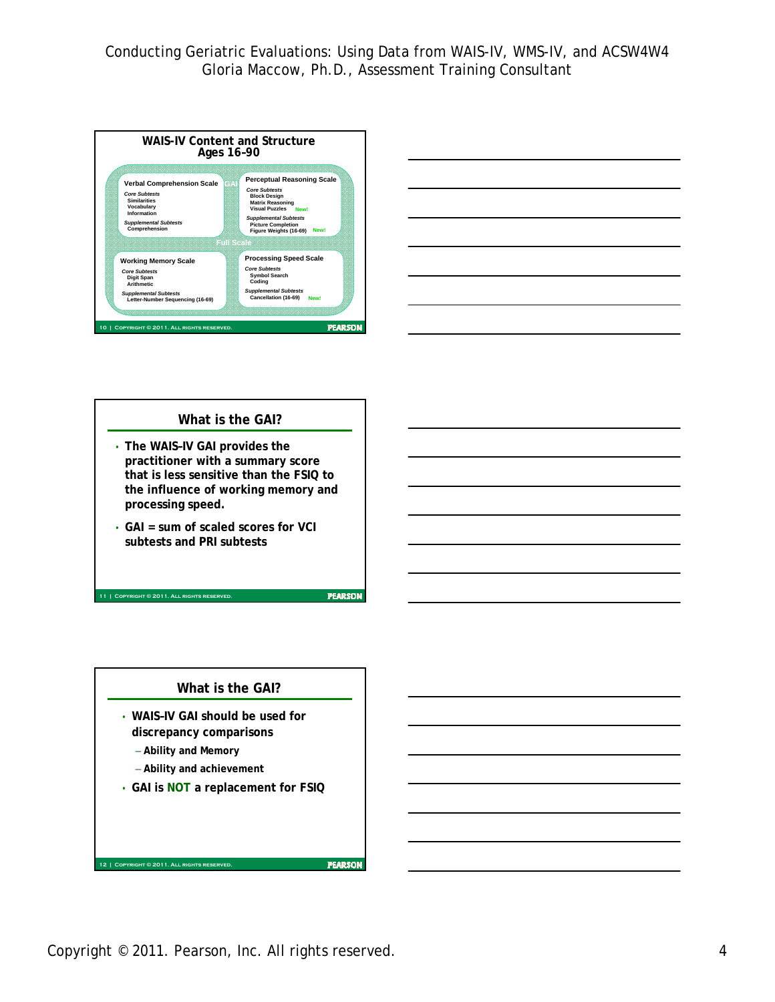



# **What is the GAI?** • **The WAIS–IV GAI provides the practitioner with a summary score that is less sensitive than the FSIQ to the influence of working memory and processing speed.**  • **GAI = sum of scaled scores for VCI subtests and PRI subtests**

**11 | Copyright © 2011. All rights reserved.**

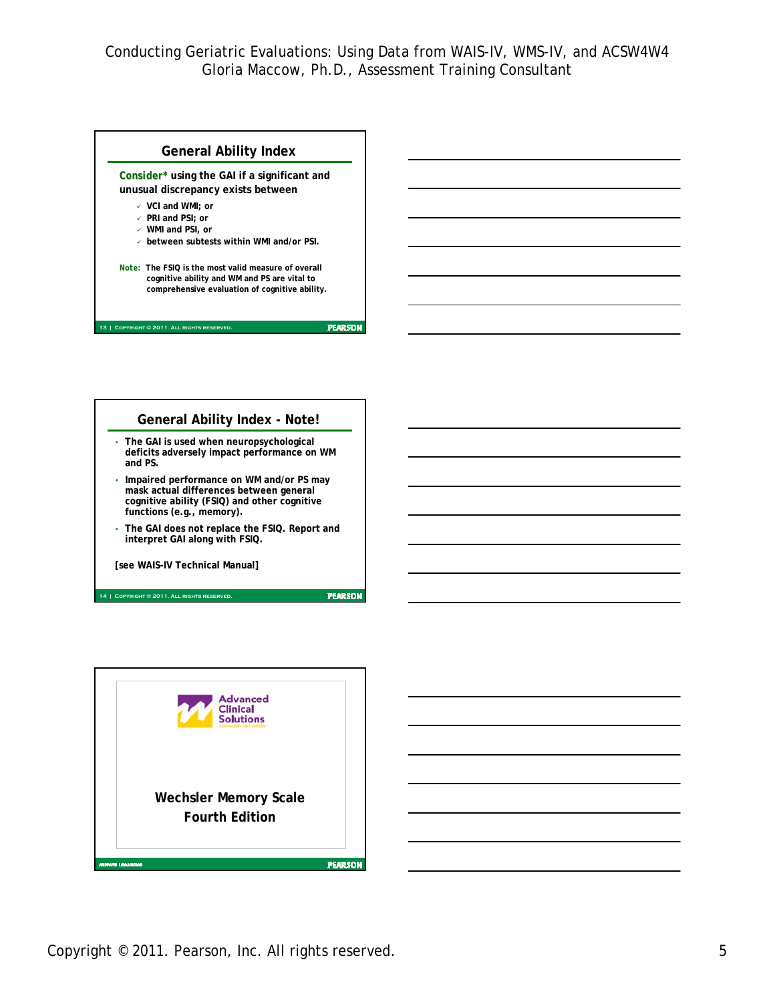



**[see WAIS-IV Technical Manual]**

**14 | Copyright © 2011. All rights reserved.**

**Advanced Clinical Solutions** 

**PEARSON** 

**Wechsler Memory Scale Fourth EditionFEARSON** .<br>Maria ana imam

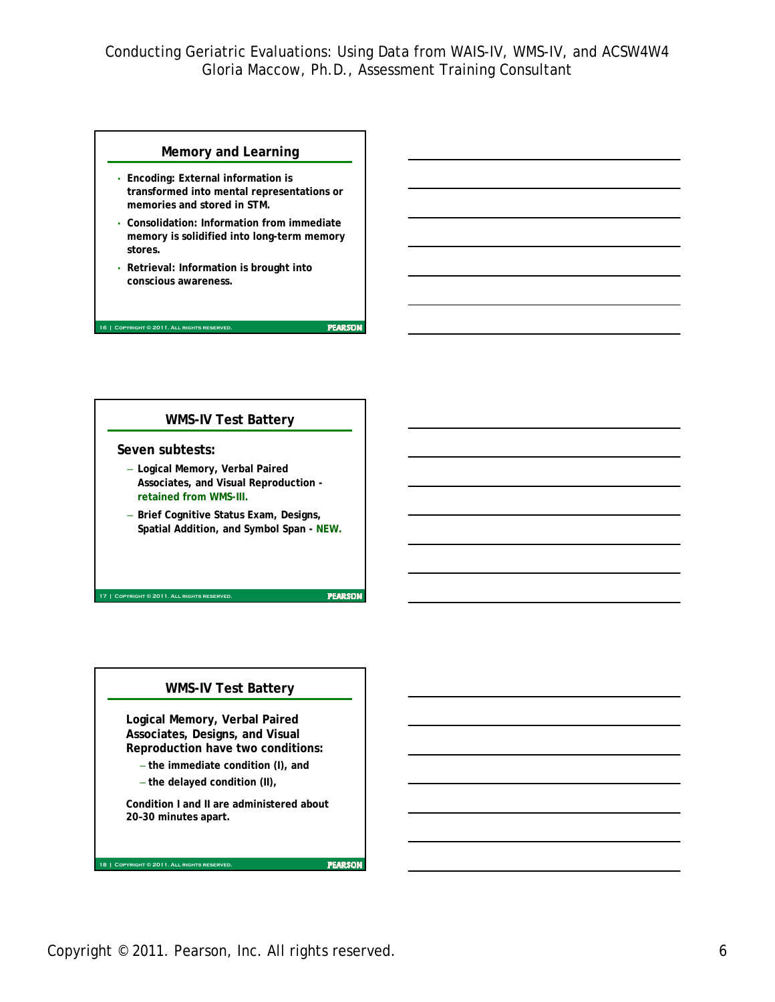**PEARSON** 

**PEARSON** 

### **Memory and Learning**

- **Encoding: External information is transformed into mental representations or memories and stored in STM.**
- **Consolidation: Information from immediate memory is solidified into long-term memory stores.**
- **Retrieval: Information is brought into conscious awareness.**

#### **16 | Copyright © 2011. All rights reserved.**

### **WMS-IV Test Battery**

#### **Seven subtests:**

- **Logical Memory, Verbal Paired Associates, and Visual Reproduction retained from WMS-III.**
- **Brief Cognitive Status Exam, Designs, Spatial Addition, and Symbol Span - NEW.**

**17 | Copyright © 2011. All rights reserved.**

#### **WMS-IV Test Battery**

**Logical Memory, Verbal Paired Associates, Designs, and Visual Reproduction have two conditions:** 

- **the immediate condition (I), and**
- **the delayed condition (II),**

**18 | Copyright © 2011. All rights reserved.**

**Condition I and II are administered about 20–30 minutes apart.**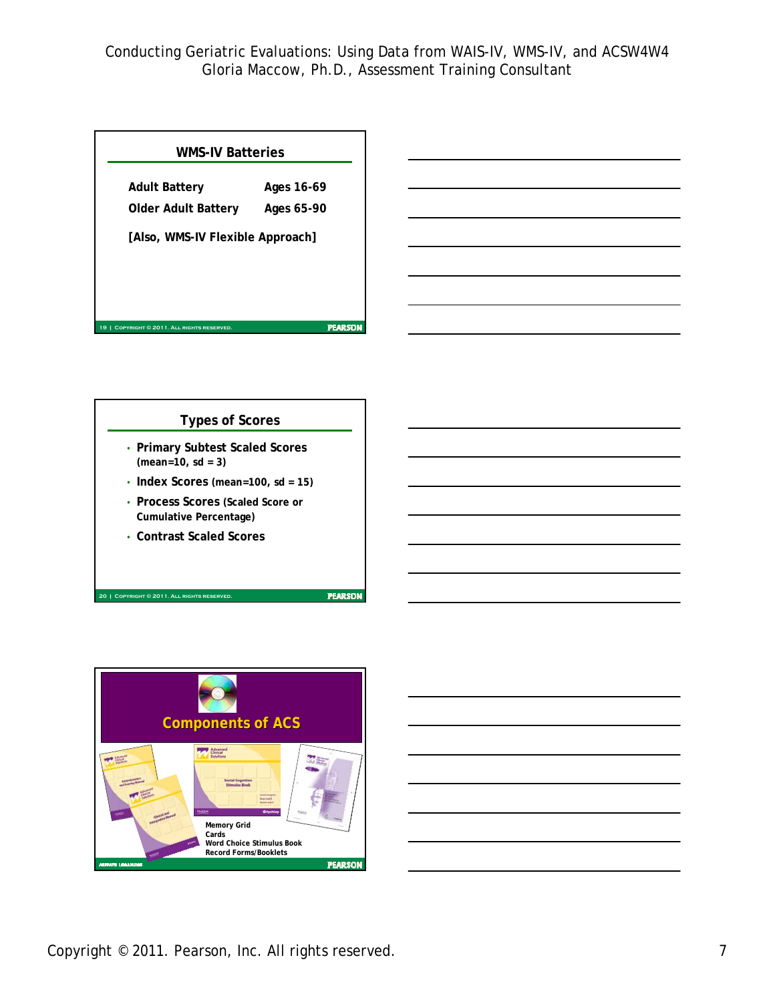| <b>WMS-IV Batteries</b>                      |            |
|----------------------------------------------|------------|
| <b>Adult Battery</b>                         | Ages 16-69 |
| Older Adult Battery                          | Ages 65-90 |
| [Also, WMS-IV Flexible Approach]             |            |
|                                              |            |
|                                              |            |
| COPYRIGHT © 2011. ALL RIGHTS RESERVED.<br>19 | PEARSON    |



**20 | Copyright © 2011. All rights reserved.**



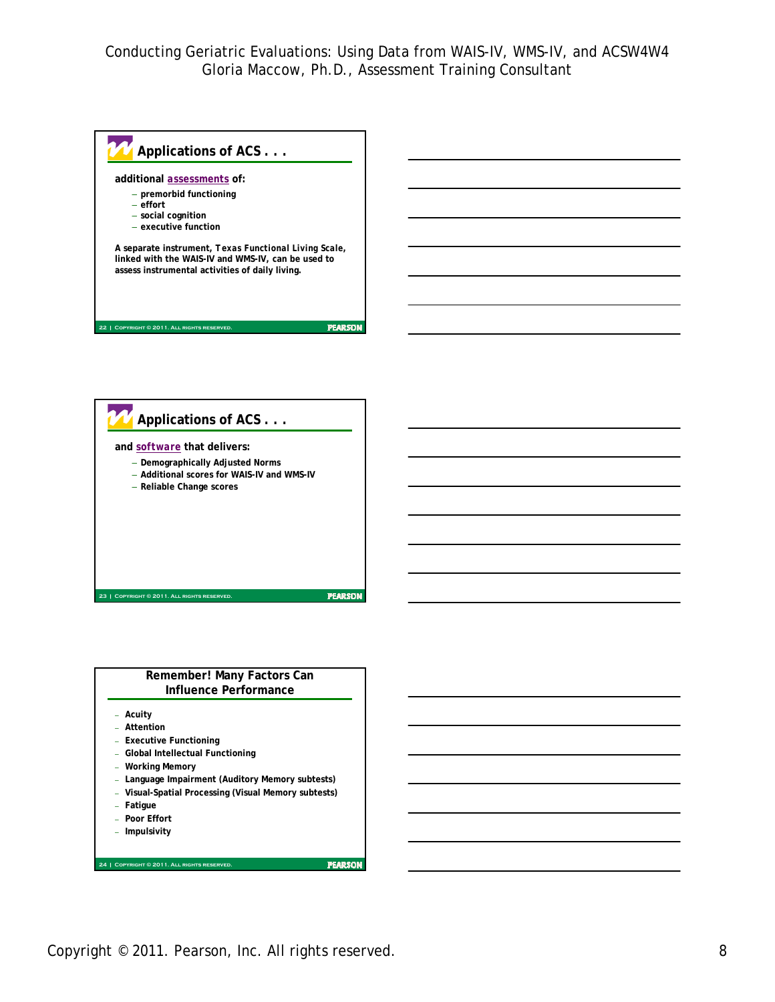





Copyright © 2011. Pearson, Inc. All rights reserved. The state of the state of the state of the state of the state of the state of the state of the state of the state of the state of the state of the state of the state of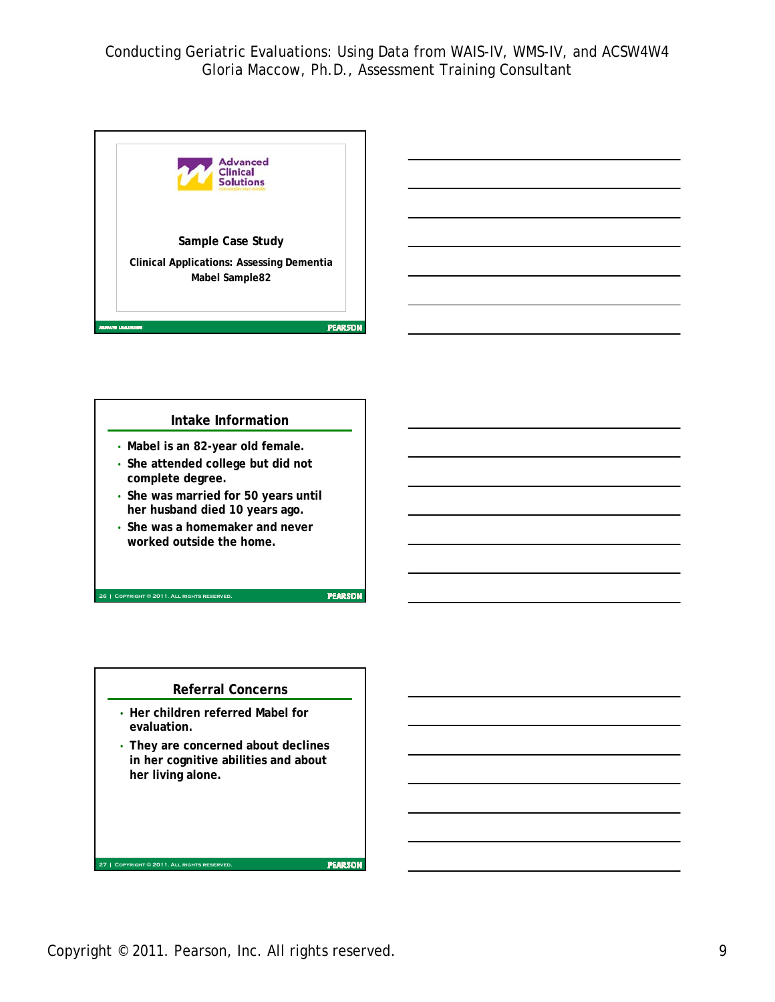

# **Intake Information**

- **Mabel is an 82-year old female.**
- **She attended college but did not complete degree.**
- **She was married for 50 years until her husband died 10 years ago.**
- **She was a homemaker and never worked outside the home.**

**26 | Copyright © 2011. All rights reserved.**

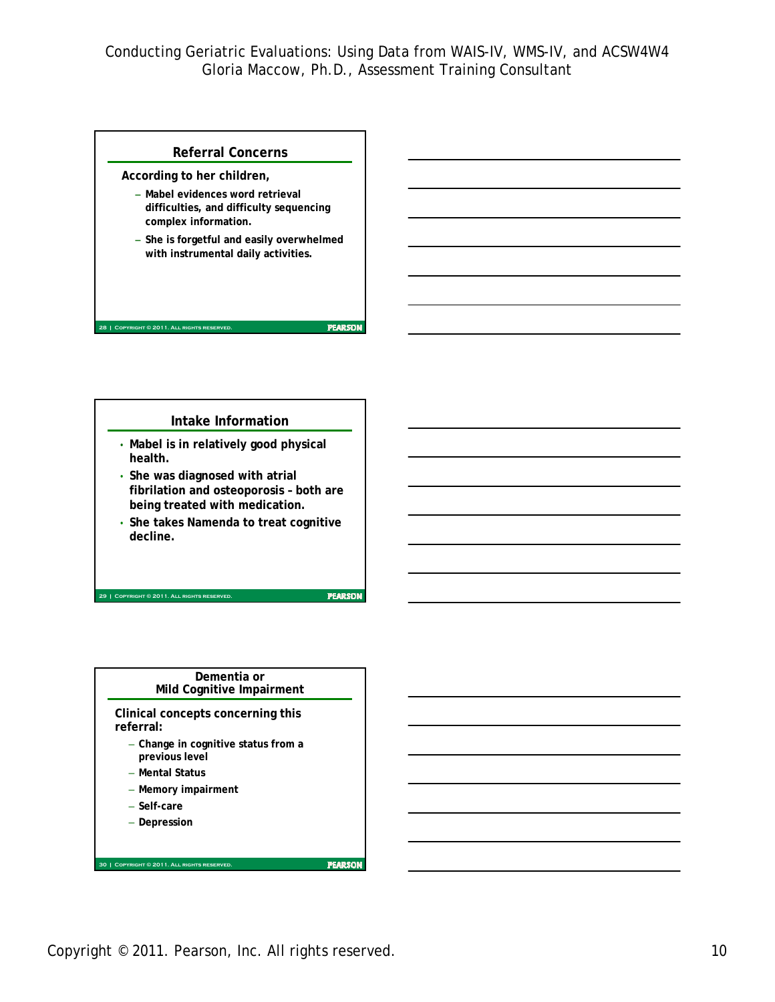#### **Referral Concerns**

**According to her children,** 

- **Mabel evidences word retrieval difficulties, and difficulty sequencing complex information.**
- **She is forgetful and easily overwhelmed with instrumental daily activities.**

#### **Intake Information**

- **Mabel is in relatively good physical health.**
- **She was diagnosed with atrial fibrilation and osteoporosis – both are being treated with medication.**
- **She takes Namenda to treat cognitive decline.**

#### **29 | Copyright © 2011. All rights reserved.**

**28 | Copyright © 2011. All rights reserved.**

**PEARSON** 

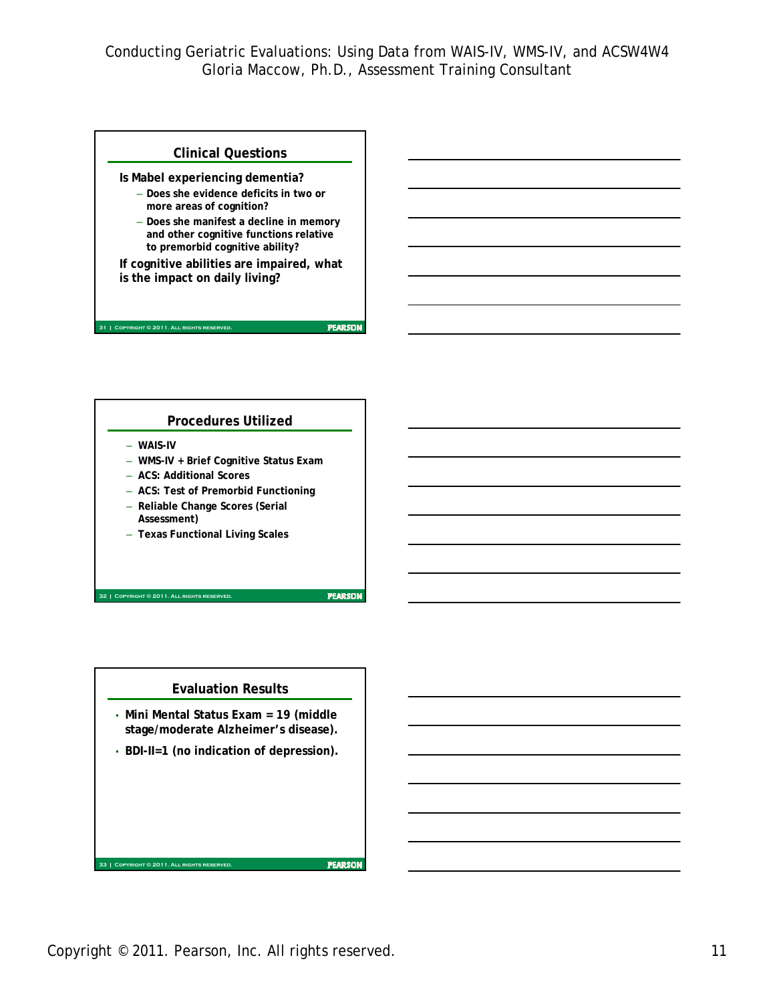**PEARSON** 

**PEARSON** 

### **Clinical Questions**

**Is Mabel experiencing dementia?**

- **Does she evidence deficits in two or more areas of cognition?**
- **Does she manifest a decline in memory and other cognitive functions relative to premorbid cognitive ability?**

**If cognitive abilities are impaired, what is the impact on daily living?**

### **Procedures Utilized**

– **WAIS-IV**

**31 | COPYRIGHT © 2011. ALL RIGHTS RESE** 

- **WMS-IV + Brief Cognitive Status Exam**
- **ACS: Additional Scores**
- **ACS: Test of Premorbid Functioning**
- **Reliable Change Scores (Serial Assessment)**
- **Texas Functional Living Scales**

**32 | Copyright © 2011. All rights reserved.**

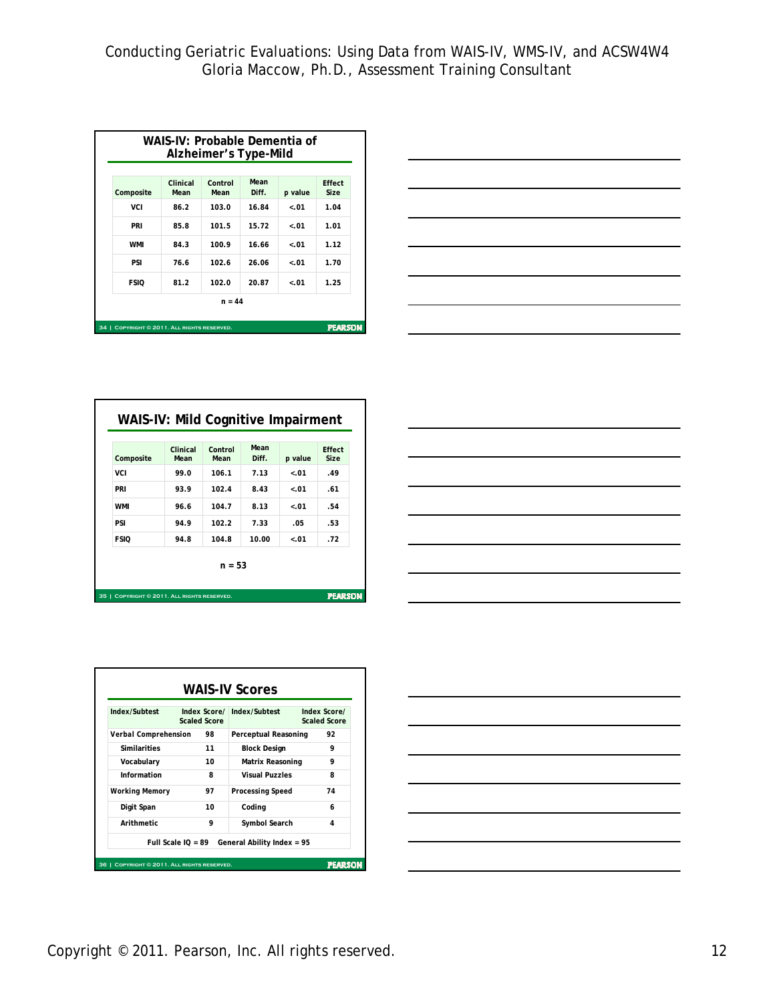| Composite   | Clinical<br>Mean | Control<br>Mean | Mean<br>Diff. | $p$ value | Effect<br><b>Size</b> |
|-------------|------------------|-----------------|---------------|-----------|-----------------------|
| VCI         | 86.2             | 103.0           | 16.84         | $-.01$    | 1.04                  |
| PRI         | 85.8             | 101.5           | 15.72         | $-.01$    | 1.01                  |
| <b>WMI</b>  | 84.3             | 100.9           | 16.66         | $-.01$    | 1.12                  |
| PSI         | 76.6             | 102.6           | 26.06         | $-.01$    | 1.70                  |
| <b>FSIO</b> | 81.2             | 102.0           | 20.87         | $-.01$    | 1.25                  |
|             |                  | $n = 44$        |               |           |                       |



| Composite   | Clinical<br>Mean | Control<br>Mean | Mean<br>Diff. | $p$ value | Effect<br><b>Size</b> |
|-------------|------------------|-----------------|---------------|-----------|-----------------------|
| VCI         | 99.0             | 106.1           | 7.13          | $-.01$    | .49                   |
| PRI         | 93.9             | 102.4           | 8.43          | $-.01$    | .61                   |
| <b>WMI</b>  | 96.6             | 104.7           | 8.13          | $-.01$    | .54                   |
| PSI         | 94.9             | 102.2           | 7.33          | .05       | .53                   |
| <b>FSIO</b> | 94.8             | 104.8           | 10.00         | $-.01$    | .72                   |
|             |                  | $n = 53$        |               |           |                       |





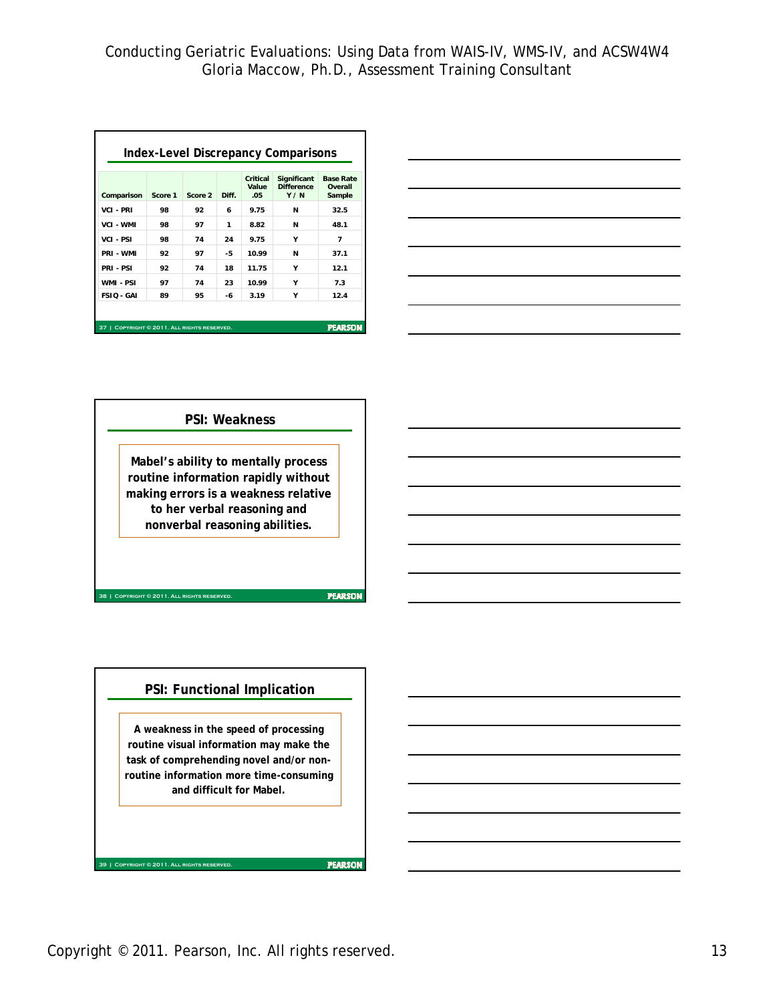|                   |         |         |       | Critical<br>Value | Significant<br><b>Difference</b> | <b>Base Rate</b><br>Overall |
|-------------------|---------|---------|-------|-------------------|----------------------------------|-----------------------------|
| Comparison        | Score 1 | Score 2 | Diff. | 05                | Y/N                              | Sample                      |
| <b>VCI - PRI</b>  | 98      | 92      | 6     | 9.75              | N                                | 32.5                        |
| <b>VCI - WMI</b>  | 98      | 97      | 1     | 8.82              | N                                | 48.1                        |
| <b>VCI - PSI</b>  | 98      | 74      | 24    | 9.75              | Υ                                | 7                           |
| PRI - WMI         | 92      | 97      | -5    | 10.99             | N                                | 37.1                        |
| PRI-PSI           | 92      | 74      | 18    | 11.75             | Υ                                | 12.1                        |
| WMI - PSI         | 97      | 74      | 23    | 10.99             | Υ                                | 7.3                         |
| <b>FSIO - GAI</b> | 89      | 95      | -6    | 3.19              | γ                                | 12.4                        |



### **PSI: Weakness**

**Mabel's ability to mentally process routine information rapidly without making errors is a weakness relative to her verbal reasoning and nonverbal reasoning abilities.**

**PEARSON** 

### **PSI: Functional Implication**

**38 | Copyright © 2011. All rights reserved.**

**39 | Copyright © 2011. All rights reserved.**

**A weakness in the speed of processing routine visual information may make the task of comprehending novel and/or nonroutine information more time-consuming and difficult for Mabel.**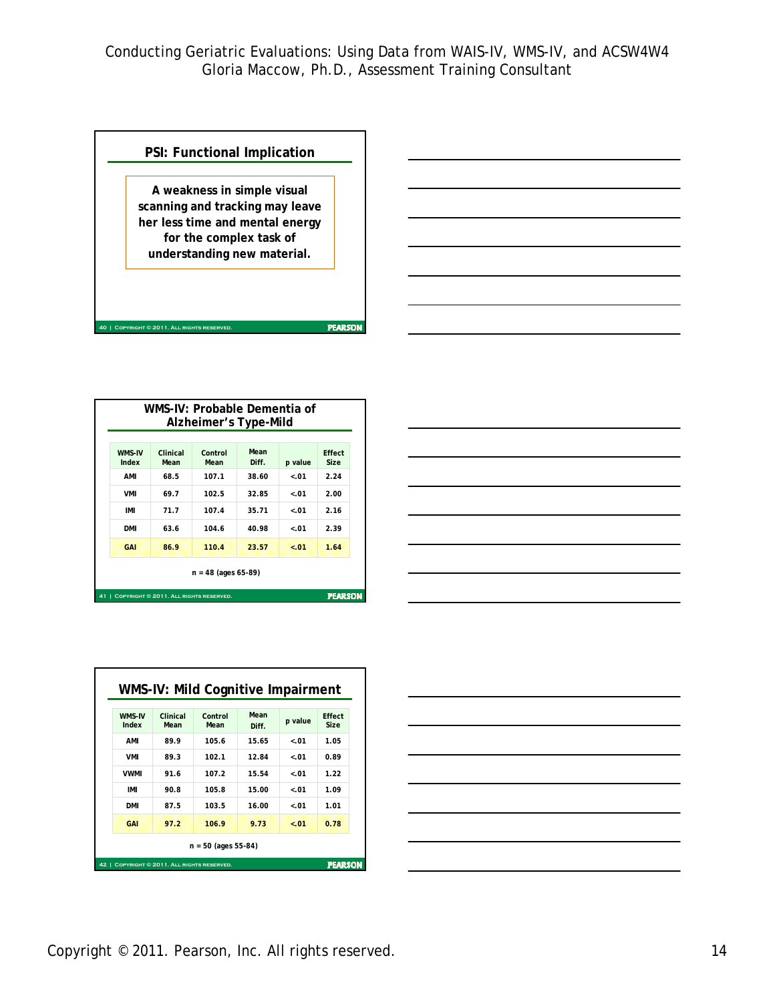

|                 |                                        | WMS-IV: Probable Dementia of<br>Alzheimer's Type-Mild |               |           |                       |
|-----------------|----------------------------------------|-------------------------------------------------------|---------------|-----------|-----------------------|
| WMS-IV<br>Index | Clinical<br>Mean                       | Control<br>Mean                                       | Mean<br>Diff. | $p$ value | Effect<br><b>Size</b> |
| AMI             | 68.5                                   | 107.1                                                 | 38.60         | $-.01$    | 2.24                  |
| <b>VMI</b>      | 69.7                                   | 102.5                                                 | 32.85         | $-.01$    | 2.00                  |
| IMI             | 71.7                                   | 107.4                                                 | 35.71         | $-.01$    | 2.16                  |
| <b>DMI</b>      | 63.6                                   | 104.6                                                 | 40.98         | $-.01$    | 2.39                  |
| <b>GAI</b>      | 86.9                                   | 110.4                                                 | 23.57         | < 0.01    | 1.64                  |
|                 |                                        | $n = 48$ (ages 65-89)                                 |               |           |                       |
| 41              | COPYRIGHT © 2011. ALL RIGHTS RESERVED. |                                                       |               |           | <b>PEARSON</b>        |

| <u>a comparativo de la contrada de la contrada de la contrada de la contrada de la contrada de la contrada de la c</u> |  |  |  |                                   |
|------------------------------------------------------------------------------------------------------------------------|--|--|--|-----------------------------------|
| $\overbrace{\hspace{27mm}}^{}$                                                                                         |  |  |  | ____                              |
|                                                                                                                        |  |  |  |                                   |
|                                                                                                                        |  |  |  | the control of the control of the |
| and the control of the control of the control of the control of the control of the control of the control of th        |  |  |  |                                   |
|                                                                                                                        |  |  |  |                                   |

| WMS-IV<br>Index | Clinical<br>Mean | Control<br>Mean | Mean<br>Diff. | $p$ value | Effect<br><b>Size</b> |
|-----------------|------------------|-----------------|---------------|-----------|-----------------------|
| AMI             | 89.9             | 105.6           | 15.65         | $-.01$    | 1.05                  |
| <b>VMI</b>      | 89.3             | 102.1           | 12.84         | $-.01$    | 0.89                  |
| <b>VWMI</b>     | 91.6             | 107.2           | 15.54         | $-.01$    | 1.22                  |
| IMI             | 90.8             | 105.8           | 15.00         | $-.01$    | 1.09                  |
| <b>DMI</b>      | 87.5             | 103.5           | 16.00         | $-.01$    | 1.01                  |
| GAI             | 97.2             | 106.9           | 9.73          | $-.01$    | 0.78                  |

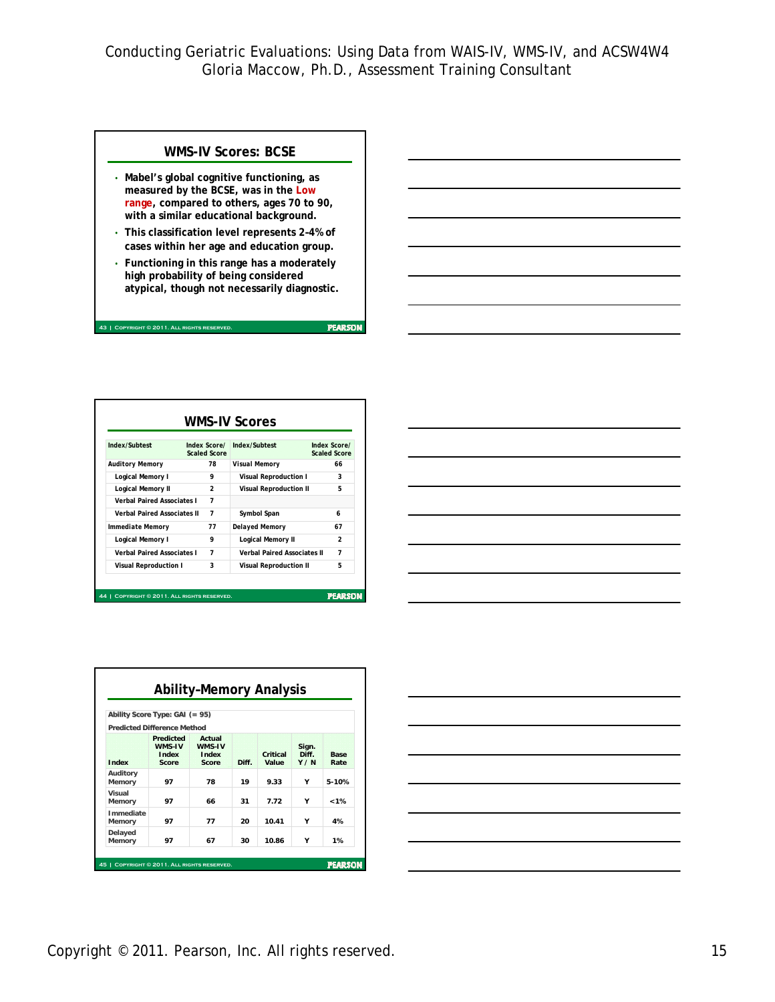#### **WMS-IV Scores: BCSE**

- **Mabel's global cognitive functioning, as measured by the BCSE, was in the Low range, compared to others, ages 70 to 90, with a similar educational background.**
- **This classification level represents 2–4% of cases within her age and education group.**
- **Functioning in this range has a moderately high probability of being considered atypical, though not necessarily diagnostic.**

**43 | Copyright © 2011. All rights reserved.**

| Index/Subtest                      | <b>Index Scorel</b><br><b>Scaled Score</b> | Index/Subtest                      | <b>Index Scorel</b><br><b>Scaled Score</b> |
|------------------------------------|--------------------------------------------|------------------------------------|--------------------------------------------|
| <b>Auditory Memory</b>             | 78                                         | Visual Memory                      | 66                                         |
| Logical Memory I                   | 9                                          | Visual Reproduction I              | 3                                          |
| <b>Logical Memory II</b>           | $\overline{2}$                             | <b>Visual Reproduction II</b>      | 5                                          |
| <b>Verhal Paired Associates I</b>  | $\overline{7}$                             |                                    |                                            |
| <b>Verbal Paired Associates II</b> | $\overline{7}$                             | Symbol Span                        | 6                                          |
| <b>Immediate Memory</b>            | 77                                         | <b>Delayed Memory</b>              | 67                                         |
| Logical Memory I                   | q                                          | <b>Logical Memory II</b>           | $\mathfrak{p}$                             |
| <b>Verhal Paired Associates I</b>  | $\overline{7}$                             | <b>Verbal Paired Associates II</b> | $\overline{7}$                             |
| <b>Visual Reproduction I</b>       | 3                                          | <b>Visual Reproduction II</b>      | 5                                          |

| <u> Andreas Andreas Andreas Andreas Andreas Andreas Andreas Andreas Andreas Andreas Andreas Andreas Andreas Andreas Andreas Andreas Andreas Andreas Andreas Andreas Andreas Andreas Andreas Andreas Andreas Andreas Andreas Andr</u> |                                                                                                                 |  |  |
|--------------------------------------------------------------------------------------------------------------------------------------------------------------------------------------------------------------------------------------|-----------------------------------------------------------------------------------------------------------------|--|--|
|                                                                                                                                                                                                                                      |                                                                                                                 |  |  |
| <u> 1980 - Andrea Stadt Britain, amerikansk politik (* 1980)</u>                                                                                                                                                                     |                                                                                                                 |  |  |
|                                                                                                                                                                                                                                      |                                                                                                                 |  |  |
|                                                                                                                                                                                                                                      |                                                                                                                 |  |  |
|                                                                                                                                                                                                                                      | the contract of the contract of the contract of the contract of the contract of the contract of the contract of |  |  |

|                     | Ability Score Type: $GAI (= 95)$             |                                    |       |                   |                             |                     |
|---------------------|----------------------------------------------|------------------------------------|-------|-------------------|-----------------------------|---------------------|
|                     | <b>Predicted Difference Method</b>           |                                    |       |                   |                             |                     |
| Index               | <b>Predicted</b><br>WMS-IV<br>Index<br>Score | Actual<br>WMS-IV<br>Index<br>Score | Diff. | Critical<br>Value | Sign.<br><b>Diff</b><br>Y/N | <b>Base</b><br>Rate |
| Auditory<br>Memory  | 97                                           | 78                                 | 19    | 9.33              | Υ                           | $5-10%$             |
| Visual<br>Memory    | 97                                           | 66                                 | 31    | 7.72              | ٧                           | < 1%                |
| Immediate<br>Memory | 97                                           | 77                                 | 20    | 1041              | v                           | 4%                  |
| Delayed<br>Memory   | 97                                           | 67                                 | 30    | 10.86             | Υ                           | 1%                  |

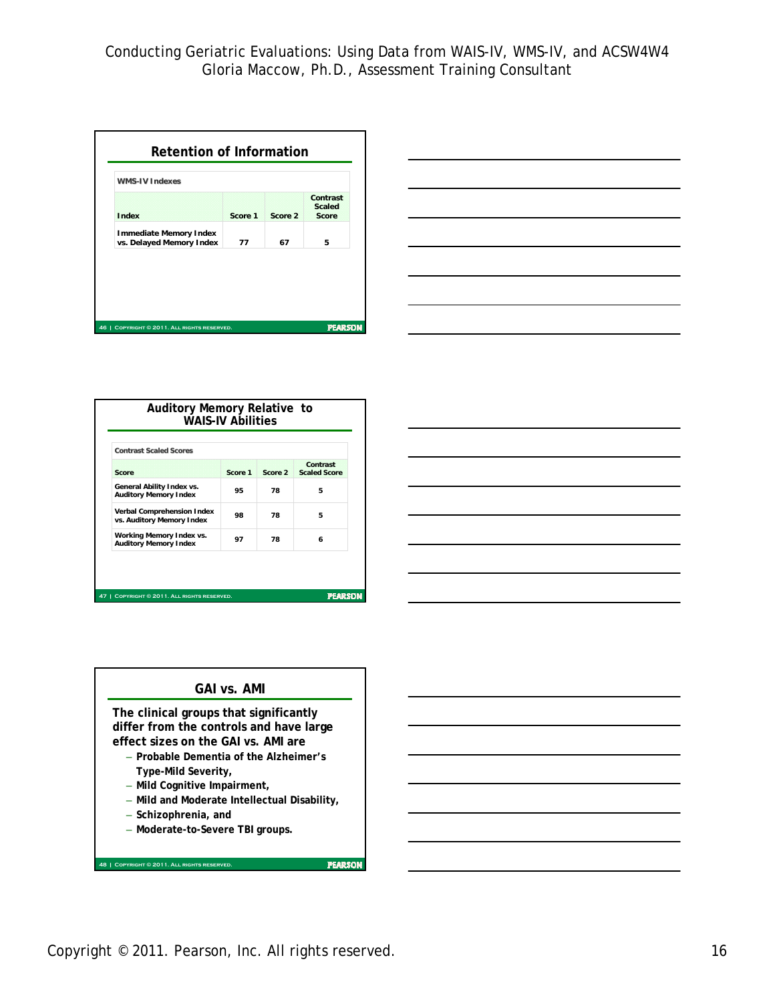| <b>WMS-IV Indexes</b>                                     |         |         |                                           |
|-----------------------------------------------------------|---------|---------|-------------------------------------------|
| Index                                                     | Score 1 | Score 2 | Contrast<br><b>Scaled</b><br><b>Score</b> |
| <b>Immediate Memory Index</b><br>vs. Delayed Memory Index | 77      | 67      | 5                                         |



| <b>Contrast Scaled Scores</b>                                  |         |         |                                 |
|----------------------------------------------------------------|---------|---------|---------------------------------|
| Score                                                          | Score 1 | Score 2 | Contrast<br><b>Scaled Score</b> |
| General Ability Index vs.<br><b>Auditory Memory Index</b>      | 95      | 78      | 5                               |
| <b>Verbal Comprehension Index</b><br>vs. Auditory Memory Index | 98      | 78      | 5                               |
| Working Memory Index vs.<br><b>Auditory Memory Index</b>       | 97      | 78      | 6                               |





Copyright © 2011. Pearson, Inc. All rights reserved. 16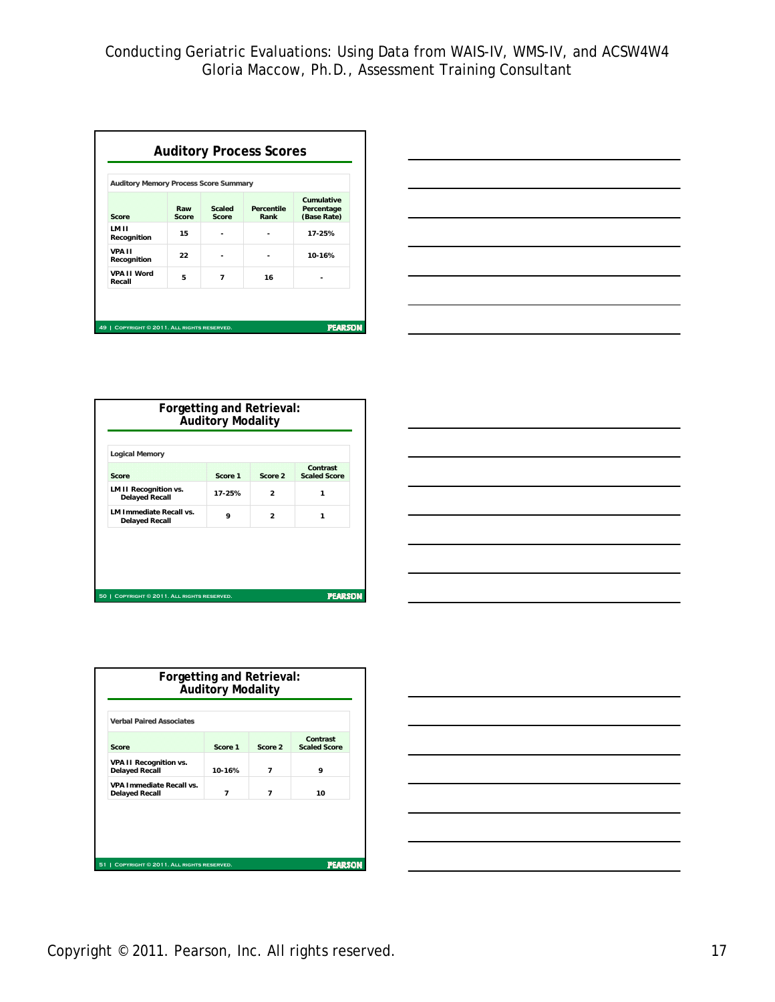| <b>Auditory Memory Process Score Summary</b> |              |                 | <b>Auditory Process Scores</b> |                                                |
|----------------------------------------------|--------------|-----------------|--------------------------------|------------------------------------------------|
| Score                                        | Raw<br>Score | Scaled<br>Score | Percentile<br>Rank             | <b>Cumulative</b><br>Percentage<br>(Base Rate) |
| LM II<br>Recognition                         | 15           |                 |                                | 17-25%                                         |
| <b>VPA II</b><br>Recognition                 | 22           |                 |                                | 10-16%                                         |
| VPA II Word<br>Recall                        | 5            | 7               | 16                             |                                                |
|                                              |              |                 |                                |                                                |
| 49   COPYRIGHT © 2011. ALL RIGHTS RESERVED.  |              |                 |                                | <b>PEARSON</b>                                 |



| <b>Score</b>                                            | Score 1 | Score 2        | Contrast<br><b>Scaled Score</b> |
|---------------------------------------------------------|---------|----------------|---------------------------------|
| <b>LM II Recognition vs.</b><br><b>Delayed Recall</b>   | 17-25%  | $\mathcal{P}$  | 1                               |
| <b>LM Immediate Recall vs.</b><br><b>Delayed Recall</b> | q       | $\mathfrak{p}$ | 1                               |

|                                                                                                                      |  | $\overline{\phantom{a}}$ |
|----------------------------------------------------------------------------------------------------------------------|--|--------------------------|
|                                                                                                                      |  |                          |
| <u> 1988 - Johann Barbara, martin da basar a shekara tsa a shekara tsa a shekara tsa a shekara tsa a shekara tsa</u> |  | ___                      |
| <u> Andreas Andreas Andreas Andreas Andreas Andreas Andreas Andreas Andreas Andreas Andreas Andreas Andreas Andr</u> |  |                          |
|                                                                                                                      |  |                          |
|                                                                                                                      |  | $\overline{\phantom{a}}$ |
|                                                                                                                      |  |                          |
| the control of the control of the control of the                                                                     |  |                          |

| <b>Verbal Paired Associates</b>                          |                          |                          |                                 |
|----------------------------------------------------------|--------------------------|--------------------------|---------------------------------|
| Score                                                    | Score 1                  | Score 2                  | Contrast<br><b>Scaled Score</b> |
| <b>VPA II Recognition vs.</b><br><b>Delayed Recall</b>   | 10-16%                   | $\overline{\phantom{a}}$ | q                               |
| <b>VPA Immediate Recall vs.</b><br><b>Delayed Recall</b> | $\overline{\phantom{a}}$ | $\overline{ }$           | 10                              |
|                                                          |                          |                          |                                 |

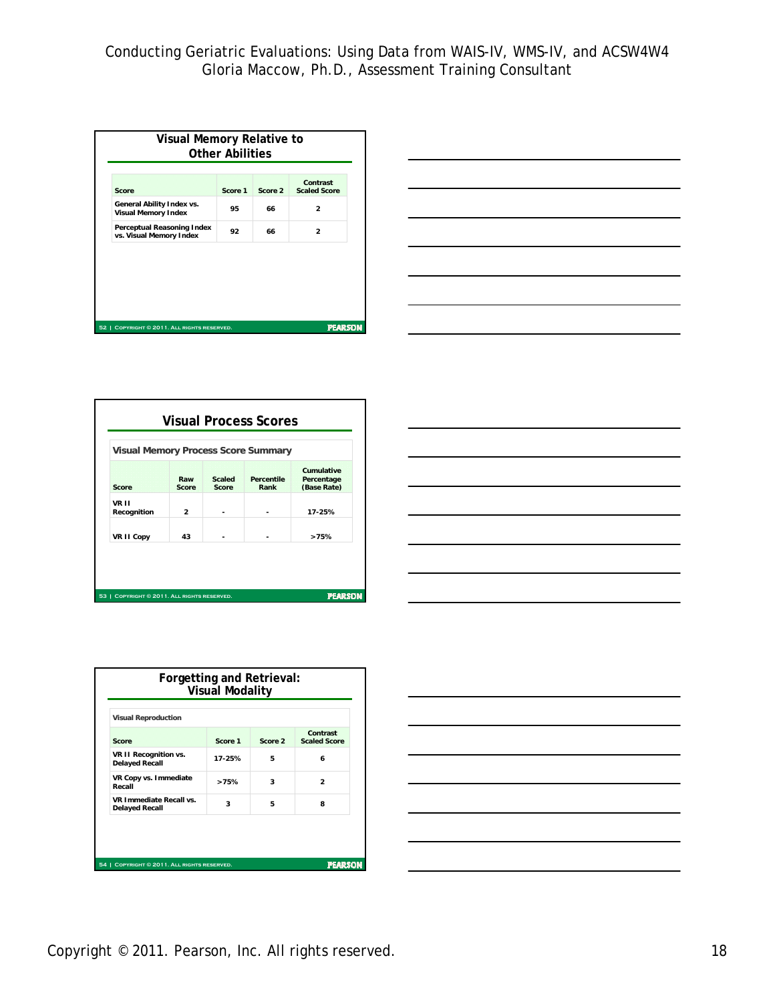| Score                                                   | Score 1  | Score 2 | Contrast<br><b>Scaled Score</b> |  |
|---------------------------------------------------------|----------|---------|---------------------------------|--|
| General Ability Index vs.<br><b>Visual Memory Index</b> | 95       | 66      | 2                               |  |
| Perceptual Reasoning Index<br>vs. Visual Memory Index   | 92<br>66 |         | $\overline{2}$                  |  |
|                                                         |          |         |                                 |  |
|                                                         |          |         |                                 |  |



| Score                | Raw<br>Score | <b>Scaled</b><br>Score | <b>Percentile</b><br>Rank | <b>Cumulative</b><br>Percentage<br>(Base Rate) |
|----------------------|--------------|------------------------|---------------------------|------------------------------------------------|
| VR II<br>Recognition | $\mathbf{z}$ |                        |                           | 17-25%                                         |
| <b>VR II Copy</b>    | 43           |                        |                           | >75%                                           |

| the control of the control of the control of the control of the control of the control of                                |  |      |
|--------------------------------------------------------------------------------------------------------------------------|--|------|
|                                                                                                                          |  |      |
|                                                                                                                          |  | __   |
|                                                                                                                          |  |      |
|                                                                                                                          |  |      |
|                                                                                                                          |  |      |
| $\overline{\phantom{a}}$                                                                                                 |  |      |
| <u>successive and the second control of the second control of the second control of the second control of the second</u> |  | ____ |
|                                                                                                                          |  |      |
| <u> 1989 - Johann Stoff, amerikansk politiker (d. 1989)</u>                                                              |  |      |

| <b>Visual Reproduction</b>                              |         |         |                                 |
|---------------------------------------------------------|---------|---------|---------------------------------|
| Score                                                   | Score 1 | Score 2 | Contrast<br><b>Scaled Score</b> |
| VR II Recognition vs.<br><b>Delayed Recall</b>          | 17-25%  | 5       | 6                               |
| VR Copy vs. Immediate<br>Recall                         | >75%    | 3       | 2                               |
| <b>VR Immediate Recall vs.</b><br><b>Delayed Recall</b> | 3       | 5       | 8                               |

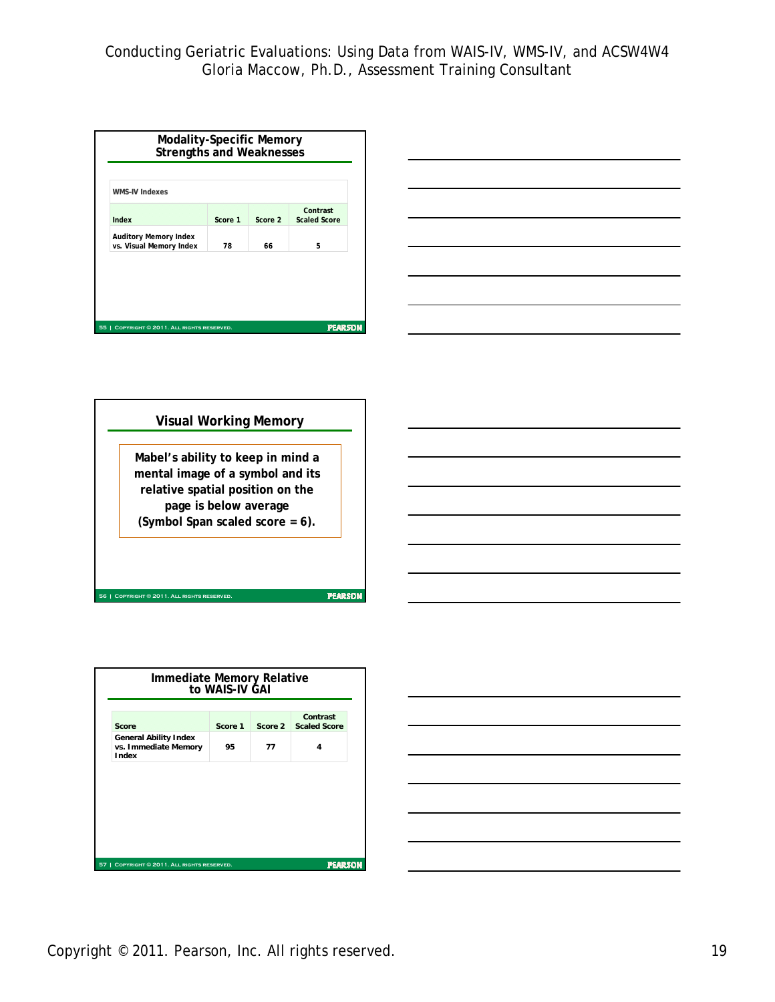| <b>WMS-IV Indexes</b>                                   |         |         |                                 |
|---------------------------------------------------------|---------|---------|---------------------------------|
| Index                                                   | Score 1 | Score 2 | Contrast<br><b>Scaled Score</b> |
| <b>Auditory Memory Index</b><br>vs. Visual Memory Index | 78      | 66      | 5                               |
|                                                         |         |         |                                 |





|                                                                                | Score |
|--------------------------------------------------------------------------------|-------|
| <b>General Ability Index</b><br>vs. Immediate Memory<br>95<br>77<br>4<br>Index |       |

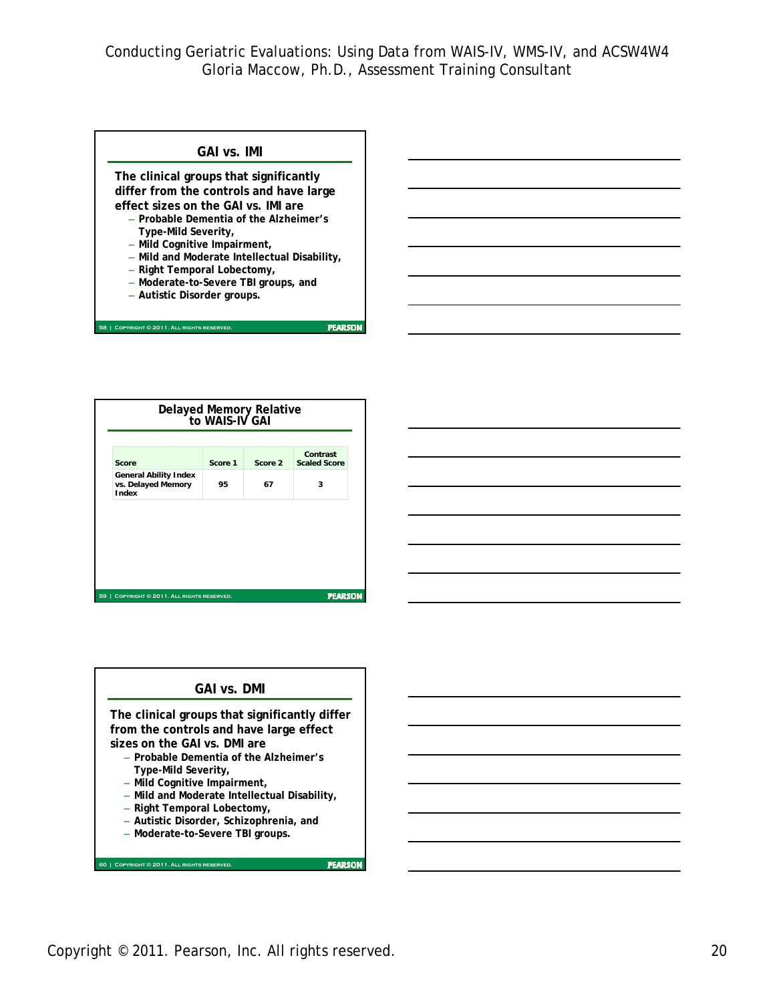

|       | Delayed Memory Relative<br>to WAIS-IV GAI          |         |         |                                 |  |  |
|-------|----------------------------------------------------|---------|---------|---------------------------------|--|--|
| Score |                                                    | Score 1 | Score 2 | Contrast<br><b>Scaled Score</b> |  |  |
| Index | <b>General Ability Index</b><br>vs. Delayed Memory | 95      | 67      | 3                               |  |  |
|       |                                                    |         |         |                                 |  |  |
|       |                                                    |         |         |                                 |  |  |
|       |                                                    |         |         |                                 |  |  |
|       | 59   COPYRIGHT © 2011. ALL RIGHTS RESERVED.        |         |         | <b>PEARSON</b>                  |  |  |



Copyright © 2011. Pearson, Inc. All rights reserved. 20 and 20 and 20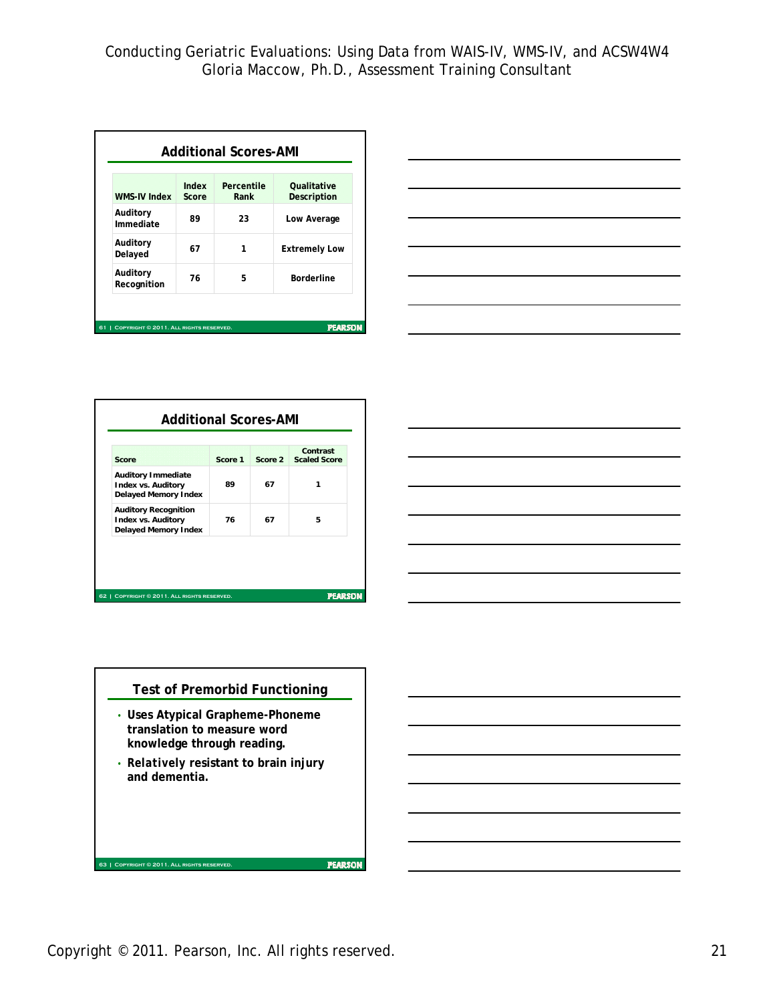| <b>WMS-IV Index</b>     | Index<br>Score | Percentile<br>Rank | <b>Qualitative</b><br>Description |
|-------------------------|----------------|--------------------|-----------------------------------|
| Auditory<br>Immediate   | 89             | 23                 | Low Average                       |
| Auditory<br>Delayed     | 67             | 1                  | <b>Extremely Low</b>              |
| Auditory<br>Recognition | 76             | 5                  | <b>Borderline</b>                 |



| Score                                                                                   | Score 1 | Score 2 | Contrast<br><b>Scaled Score</b> |
|-----------------------------------------------------------------------------------------|---------|---------|---------------------------------|
| <b>Auditory Immediate</b><br><b>Index vs. Auditory</b><br><b>Delayed Memory Index</b>   | 89      | 67      | 1                               |
| <b>Auditory Recognition</b><br><b>Index vs. Auditory</b><br><b>Delayed Memory Index</b> | 76      | 67      | 5                               |





- **Uses Atypical Grapheme-Phoneme translation to measure word knowledge through reading.**
- *Relatively* **resistant to brain injury and dementia.**

Copyright © 2011. Pearson, Inc. All rights reserved. 21

**FEARSON** 

**63 | Copyright © 2011. All rights reserved.**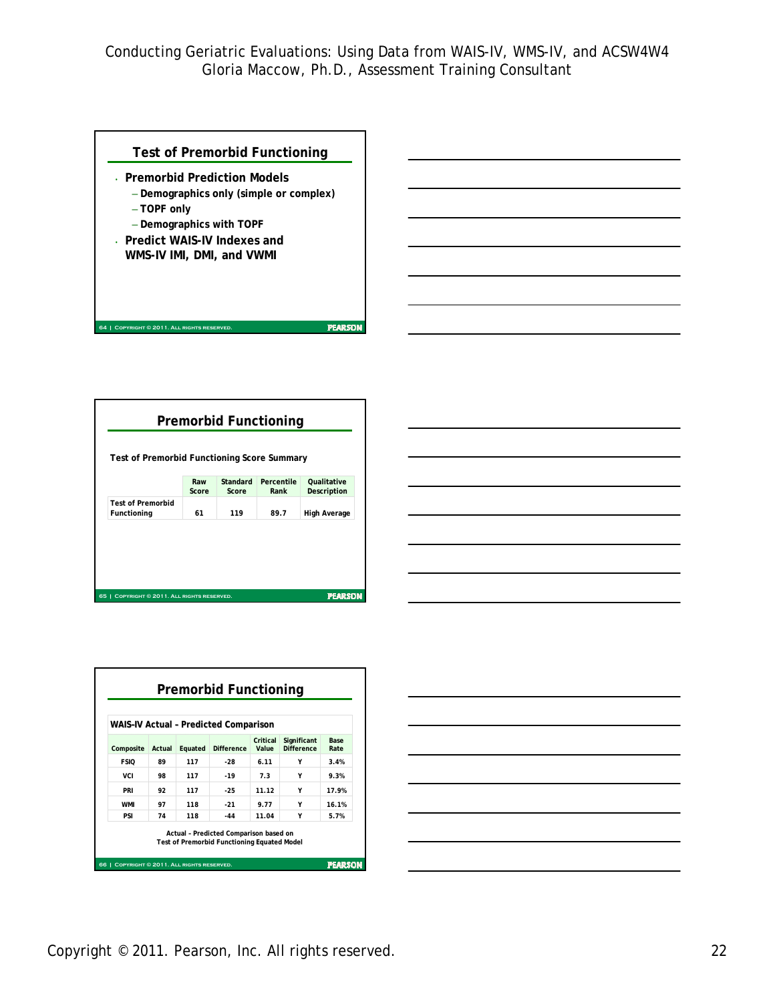**PEARSON** 

# **Test of Premorbid Functioning**

- **Premorbid Prediction Models**
	- **Demographics only (simple or complex)** – **TOPF only**
	- **Demographics with TOPF**

**64 | Copyright © 2011. All rights reserved.**

• **Predict WAIS-IV Indexes and WMS-IV IMI, DMI, and VWMI**

| <b>Premorbid Functioning</b><br>Test of Premorbid Functioning Score Summary |                                                          |                   |                    |                                   |  |
|-----------------------------------------------------------------------------|----------------------------------------------------------|-------------------|--------------------|-----------------------------------|--|
|                                                                             | Raw<br>Score                                             | Standard<br>Score | Percentile<br>Rank | <b>Oualitative</b><br>Description |  |
| <b>Test of Premorbid</b><br>Functioning                                     | 61                                                       | 119               | 89.7               | <b>High Average</b>               |  |
|                                                                             |                                                          |                   |                    |                                   |  |
|                                                                             |                                                          |                   |                    |                                   |  |
|                                                                             |                                                          |                   |                    |                                   |  |
| 65 1                                                                        | <b>PEARSON</b><br>COPYRIGHT © 2011. ALL RIGHTS RESERVED. |                   |                    |                                   |  |

|  |  | <u> 1989 - Johann Stoff, amerikansk politiker (d. 1989)</u>                                                           |  |
|--|--|-----------------------------------------------------------------------------------------------------------------------|--|
|  |  |                                                                                                                       |  |
|  |  |                                                                                                                       |  |
|  |  | <u> 1989 - Johann Stoff, amerikansk politiker (d. 1989)</u>                                                           |  |
|  |  | <u> 1989 - Johann Stoff, deutscher Stoffen und der Stoffen und der Stoffen und der Stoffen und der Stoffen und de</u> |  |
|  |  |                                                                                                                       |  |
|  |  | <u> 1989 - Johann Stoff, deutscher Stoff, der Stoff, der Stoff, der Stoff, der Stoff, der Stoff, der Stoff, der S</u> |  |
|  |  |                                                                                                                       |  |



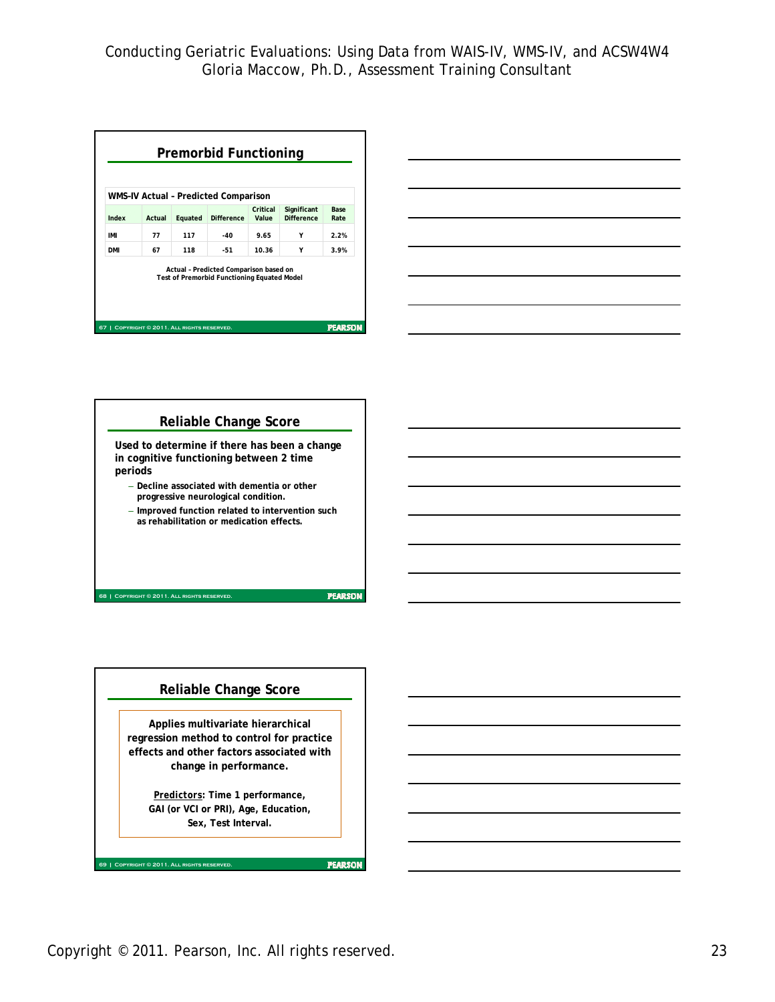| WMS-IV Actual - Predicted Comparison |        |         |                                                                                              |                   |                                  |                     |
|--------------------------------------|--------|---------|----------------------------------------------------------------------------------------------|-------------------|----------------------------------|---------------------|
| Index                                | Actual | Equated | <b>Difference</b>                                                                            | Critical<br>Value | Significant<br><b>Difference</b> | <b>Base</b><br>Rate |
| IMI                                  | 77     | 117     | $-40$                                                                                        | 9.65              | Υ                                | 2.2%                |
| <b>DMI</b>                           | 67     | 118     | $-51$                                                                                        | 10.36             | Y                                | 3.9%                |
|                                      |        |         | Actual - Predicted Comparison based on<br><b>Test of Premorbid Functioning Equated Model</b> |                   |                                  |                     |







Copyright © 2011. Pearson, Inc. All rights reserved. 23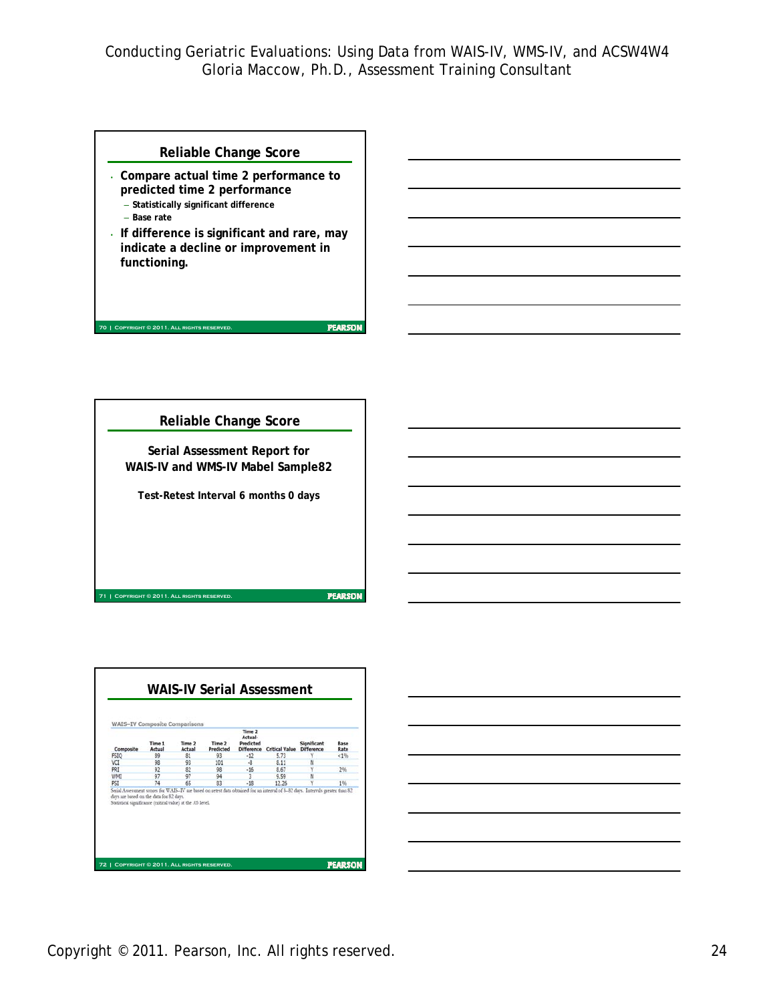#### **Reliable Change Score**

- **Compare actual time 2 performance to predicted time 2 performance** – **Statistically significant difference**
	- **Base rate**

**70 | COPYRIGHT © 2011. ALL RIGHTS RESER** 

**71 | Copyright © 2011. All rights reserved.**

• **If difference is significant and rare, may indicate a decline or improvement in functioning.**

**Reliable Change Score Serial Assessment Report for WAIS-IV and WMS-IV Mabel Sample82 Test-Retest Interval 6 months 0 days**

**PEARSON** 



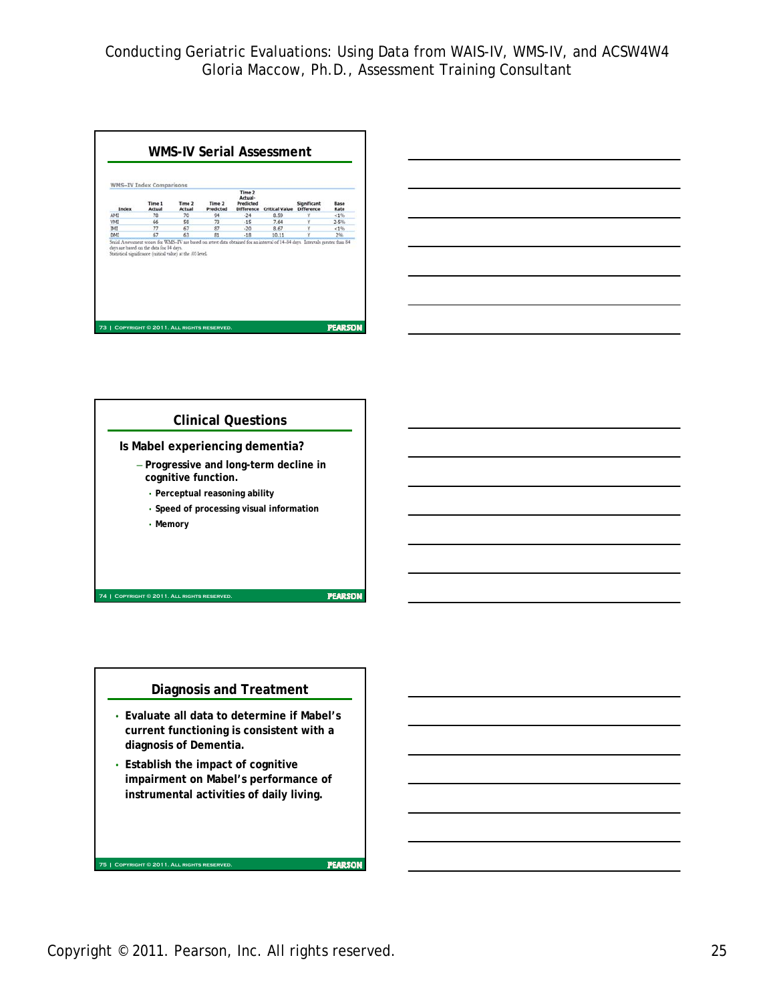





#### **Diagnosis and Treatment**

- **Evaluate all data to determine if Mabel's current functioning is consistent with a diagnosis of Dementia.**
- **Establish the impact of cognitive impairment on Mabel's performance of instrumental activities of daily living.**

**FEARSON** 

**75 | Copyright © 2011. All rights reserved.**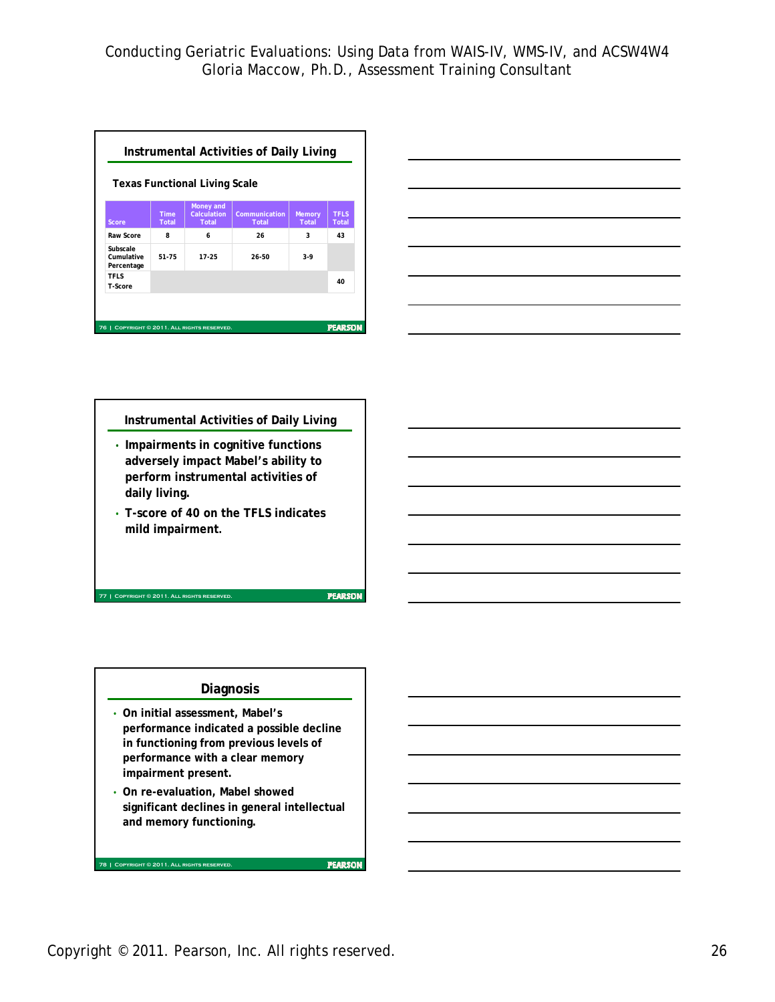|                                      |                      | <b>Texas Functional Living Scale</b>     |                        |                        |                      |
|--------------------------------------|----------------------|------------------------------------------|------------------------|------------------------|----------------------|
| Score                                | <b>Time</b><br>Total | Money and<br>Calculation<br><b>Total</b> | Communication<br>Total | <b>Memory</b><br>Total | <b>TFLS</b><br>Total |
| Raw Score                            | R                    | 6                                        | 26                     | 3                      | 43                   |
| Subscale<br>Cumulative<br>Percentage | 51-75                | 17-25                                    | 26-50                  | $3-9$                  |                      |
| <b>TFLS</b><br>T-Score               |                      |                                          |                        |                        | 40                   |



# **Instrumental Activities of Daily Living**

- **Impairments in cognitive functions adversely impact Mabel's ability to perform instrumental activities of daily living.**
- **T-score of 40 on the TFLS indicates mild impairment.**

**77 | Copyright © 2011. All rights reserved.**

**78 | Copyright © 2011. All rights reserved.**

### **Diagnosis**

- **On initial assessment, Mabel's performance indicated a possible decline in functioning from previous levels of performance with a clear memory impairment present.**
- **On re-evaluation, Mabel showed significant declines in general intellectual and memory functioning.**

**FEARSON**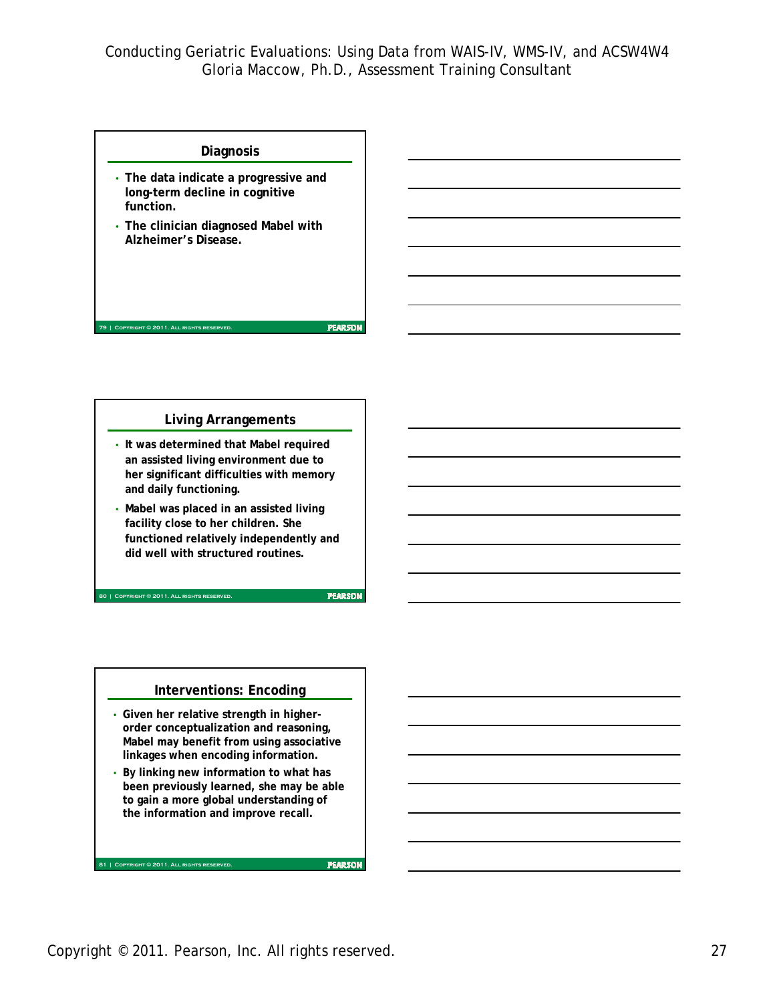#### **Diagnosis**

- **The data indicate a progressive and long-term decline in cognitive function.**
- **The clinician diagnosed Mabel with Alzheimer's Disease.**

#### **Living Arrangements**

- **It was determined that Mabel required an assisted living environment due to her significant difficulties with memory and daily functioning.**
- **Mabel was placed in an assisted living facility close to her children. She functioned relatively independently and did well with structured routines.**

**80 | Copyright © 2011. All rights reserved.**

**81 | Copyright © 2011. All rights reserved.**

**79 | Copyright © 2011. All rights reserved.**

**PEARSON** 

**PEARSON** 

#### **Interventions: Encoding**

- **Given her relative strength in higherorder conceptualization and reasoning, Mabel may benefit from using associative linkages when encoding information.**
- **By linking new information to what has been previously learned, she may be able to gain a more global understanding of the information and improve recall.**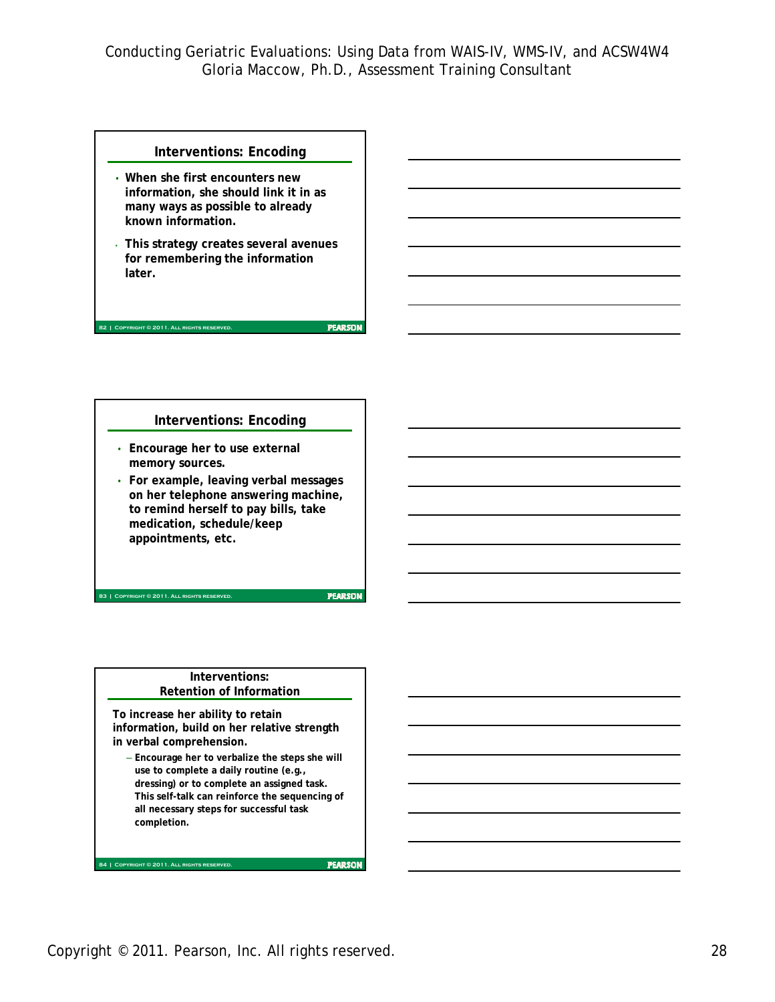#### **Interventions: Encoding**

- **When she first encounters new information, she should link it in as many ways as possible to already known information.**
- **This strategy creates several avenues for remembering the information later.**

### **Interventions: Encoding**

• **Encourage her to use external memory sources.**

**82 | COPYRIGHT © 2011. ALL RIGHTS RESER** 

**83 | Copyright © 2011. All rights reserved.**

**84 | Copyright © 2011. All rights reserved.**

• **For example, leaving verbal messages on her telephone answering machine, to remind herself to pay bills, take medication, schedule/keep appointments, etc.** 

**PEARSON** 

**PEARSON** 

#### **Interventions: Retention of Information**

**To increase her ability to retain information, build on her relative strength in verbal comprehension.**

– **Encourage her to verbalize the steps she will use to complete a daily routine (e.g., dressing) or to complete an assigned task. This self-talk can reinforce the sequencing of all necessary steps for successful task completion.**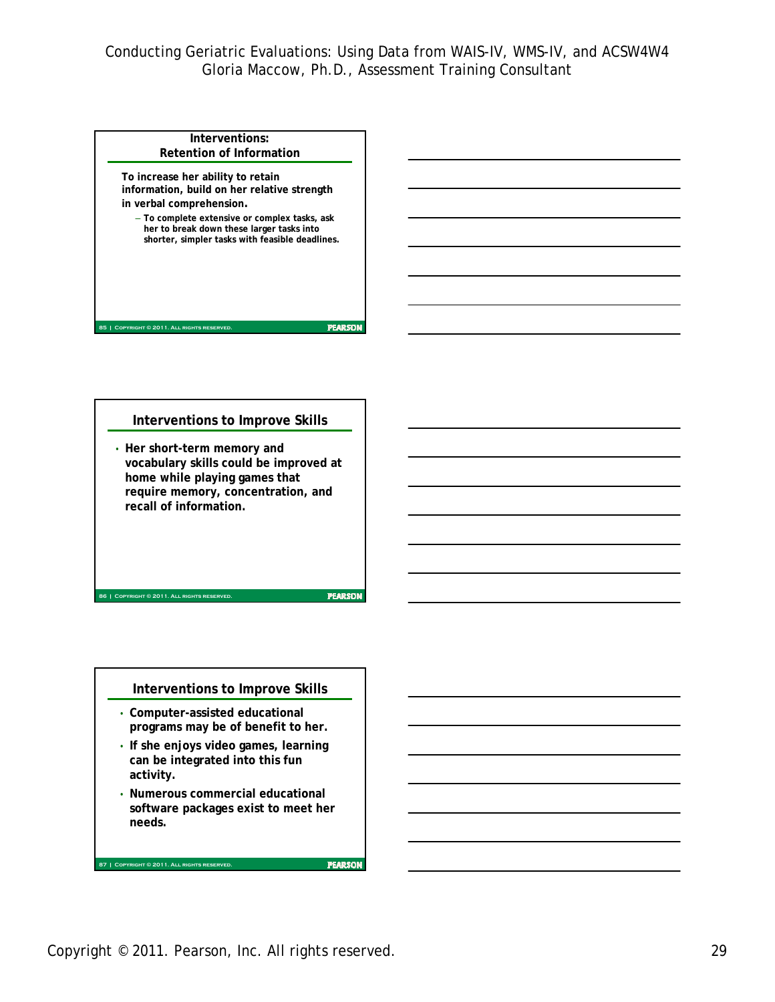| Interventions:                                                                                                                                                                                             |  |
|------------------------------------------------------------------------------------------------------------------------------------------------------------------------------------------------------------|--|
| <b>Retention of Information</b>                                                                                                                                                                            |  |
| To increase her ability to retain<br>information, build on her relative strength<br>in verbal comprehension.<br>- To complete extensive or complex tasks, ask<br>her to break down these larger tasks into |  |
| shorter, simpler tasks with feasible deadlines.                                                                                                                                                            |  |
| <b>OPYRIGHT © 2011. ALL RIGHTS RESERV</b>                                                                                                                                                                  |  |

### **Interventions to Improve Skills**

• **Her short-term memory and vocabulary skills could be improved at home while playing games that require memory, concentration, and recall of information.**

**PEARSON** 

#### **Interventions to Improve Skills**

• **Computer-assisted educational programs may be of benefit to her.** 

**86 | Copyright © 2011. All rights reserved.**

**87 | Copyright © 2011. All rights reserved.**

- **If she enjoys video games, learning can be integrated into this fun activity.**
- **Numerous commercial educational software packages exist to meet her needs.**